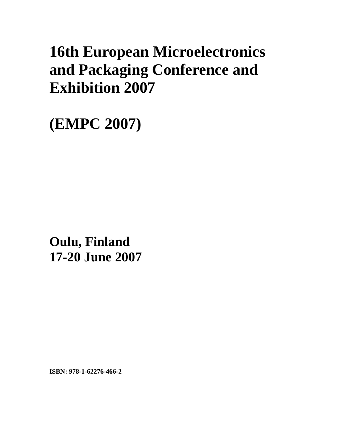# **16th European Microelectronics and Packaging Conference and Exhibition 2007**

**(EMPC 2007)** 

**xxx Oulu, Finland 17-20 June 2007** 

**ISBN: 978-1-62276-466-2**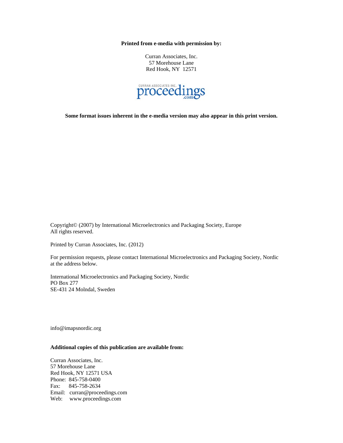**Printed from e-media with permission by:** 

Curran Associates, Inc. 57 Morehouse Lane Red Hook, NY 12571



**Some format issues inherent in the e-media version may also appear in this print version.** 

Copyright© (2007) by International Microelectronics and Packaging Society, Europe All rights reserved.

Printed by Curran Associates, Inc. (2012)

For permission requests, please contact International Microelectronics and Packaging Society, Nordic at the address below.

International Microelectronics and Packaging Society, Nordic PO Box 277 SE-431 24 Molndal, Sweden

info@imapsnordic.org

#### **Additional copies of this publication are available from:**

Curran Associates, Inc. 57 Morehouse Lane Red Hook, NY 12571 USA Phone: 845-758-0400 Fax: 845-758-2634 Email: curran@proceedings.com Web: www.proceedings.com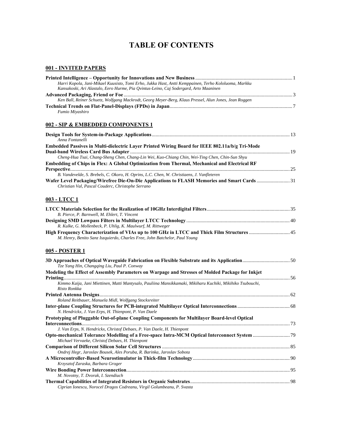# **TABLE OF CONTENTS**

#### **001 - INVITED PAPERS**

| Harri Kopola, Jani-Mikael Kuusisto, Tomi Erho, Jukka Hast, Antti Kemppainen, Terho Kololuoma, Markku<br>Kansakoski, Ari Alastalo, Eero Hurme, Pia Qvintus-Leino, Caj Sodergard, Arto Maaninen  |  |
|------------------------------------------------------------------------------------------------------------------------------------------------------------------------------------------------|--|
|                                                                                                                                                                                                |  |
| Ken Ball, Reiner Schuetz, Wolfgang Mackrodt, Georg Meyer-Berg, Klaus Pressel, Alun Jones, Jean Roggen                                                                                          |  |
| Fumio Miyashiro                                                                                                                                                                                |  |
| 002 - SIP & EMBEDDED COMPONENTS 1                                                                                                                                                              |  |
| Anna Fontanelli                                                                                                                                                                                |  |
| Embedded Passives in Multi-dielectric Layer Printed Wiring Board for IEEE 802.11a/b/g Tri-Mode                                                                                                 |  |
| Cheng-Hua Tsai, Chang-Sheng Chen, Chang-Lin Wei, Kuo-Chiang Chin, Wei-Ting Chen, Chin-Sun Shyu<br>Embedding of Chips in Flex: A Global Optimization from Thermal, Mechanical and Electrical RF |  |
| B. Vandevelde, S. Brebels, C. Okoro, H. Oprins, L.C. Chen, W. Christiaens, J. Vanfleteren                                                                                                      |  |
| Wafer Level Packaging/Wirefree Die-On-Die Applications to FLASH Memories and Smart Cards31<br>Christian Val, Pascal Couderc, Christophe Serrano                                                |  |
| 003 - LTCC 1                                                                                                                                                                                   |  |
| B. Pierce, P. Barnwell, M. Ehlert, T. Vincent                                                                                                                                                  |  |
| R. Kulke, G. Mollenbeck, P. Uhlig, K. Maulwurf, M. Rittweger                                                                                                                                   |  |
| High Frequency Characterization of VIAs up to 100 GHz in LTCC and Thick Film Structures  45<br>M. Henry, Benito Sanz Iszquierdo, Charles Free, John Batchelor, Paul Young                      |  |
| 005 - POSTER 1                                                                                                                                                                                 |  |
| 3D Approaches of Optical Waveguide Fabrication on Flexible Substrate and its Application50<br>Tze Yang Hin, Changqing Liu, Paul P. Conway                                                      |  |
| Modeling the Effect of Assembly Parameters on Warpage and Stresses of Molded Package for Inkjet                                                                                                |  |
| Kimmo Kaija, Jani Miettinen, Matti Mantysalo, Pauliina Mansikkamaki, Mikiharu Kuchiki, Mikihiko Tsubouchi,<br>Risto Ronkka                                                                     |  |
|                                                                                                                                                                                                |  |
| Roland Reitbauer, Manuela Midl, Wolfgang Stocksreiter<br>N. Hendrickx, J. Van Erps, H. Thienpont, P. Van Daele                                                                                 |  |
| Prototyping of Pluggable Out-of-plane Coupling Components for Multilayer Board-level Optical                                                                                                   |  |
|                                                                                                                                                                                                |  |
| J. Van Erps, N. Hendrickx, Christof Debaes, P. Van Daele, H. Thienpont                                                                                                                         |  |
| Michael Vervaeke, Christof Debaes, H. Thienpont                                                                                                                                                |  |
| Ondrej Hegr, Jaroslav Bousek, Ales Poruba, R. Barinka, Jaroslav Sobota                                                                                                                         |  |
|                                                                                                                                                                                                |  |
| Krzysztof Zaraska, Barbara Groger                                                                                                                                                              |  |
|                                                                                                                                                                                                |  |
| M. Novotny, T. Dvorak, I. Szendiuch                                                                                                                                                            |  |
| Ciprian Ionescu, Norocel Dragos Codreanu, Virgil Golumbeanu, P. Svasta                                                                                                                         |  |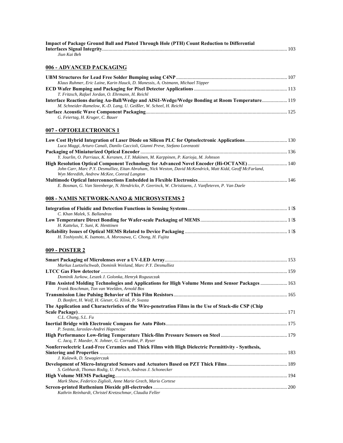| Impact of Package Ground Ball and Plated Through Hole (PTH) Count Reduction to Differential                                                                                                          |  |
|------------------------------------------------------------------------------------------------------------------------------------------------------------------------------------------------------|--|
| Jiun Kai Beh                                                                                                                                                                                         |  |
| <u>006 - ADVANCED PACKAGING</u>                                                                                                                                                                      |  |
|                                                                                                                                                                                                      |  |
| Klaus Ruhmer, Eric Laine, Karin Hauck, D. Manessis, A. Ostmann, Michael Töpper                                                                                                                       |  |
| T. Fritzsch, Rafael Jordan, O. Ehrmann, H. Reichl                                                                                                                                                    |  |
| Interface Reactions during Au-Ball/Wedge and AlSi1-Wedge/Wedge Bonding at Room Temperature 119<br>M. Schneider-Ramelow, K.-D. Lang, U. Geißler, W. Scheel, H. Reichl                                 |  |
|                                                                                                                                                                                                      |  |
| G. Feiertag, H. Kruger, C. Bauer                                                                                                                                                                     |  |
| 007 - OPTOELECTRONICS 1                                                                                                                                                                              |  |
| Low Cost Hybrid Integration of Laser Diode on Silicon PLC for Optoelectronic Applications 130<br>Luca Maggi, Arturo Canali, Danilo Caccioli, Gianni Preve, Stefano Lorenzotti                        |  |
|                                                                                                                                                                                                      |  |
| Y. Jourlin, O. Parriaux, K. Keranen, J.T. Makinen, M. Karppinen, P. Karioja, M. Johnson                                                                                                              |  |
| High Resolution Optical Component Technology for Advanced Novel Encoder (Hi-OCTANE)140<br>John Carr, Marc P.Y. Desmulliez, Eitan Abraham, Nick Weston, David McKendrick, Matt Kidd, Geoff McFarland, |  |
| Wyn Meredith, Andrew McKee, Conrad Langton                                                                                                                                                           |  |
| E. Bosman, G. Van Steenberge, N. Hendrickx, P. Geerinck, W. Christiaens, J. Vanfleteren, P. Van Daele                                                                                                |  |
| 008 - NAMIS NETWORK-NANO & MICROSYSTEMS 2                                                                                                                                                            |  |
|                                                                                                                                                                                                      |  |
| C. Khan Malek, S. Ballandras                                                                                                                                                                         |  |
| H. Kattelus, T. Suni, K. Henttinen                                                                                                                                                                   |  |
|                                                                                                                                                                                                      |  |
| H. Toshiyoshi, K. Isamoto, A. Morosawa, C. Chong, H. Fujita                                                                                                                                          |  |
| 009 - POSTER 2                                                                                                                                                                                       |  |
|                                                                                                                                                                                                      |  |
| Markus Luetzelschwab, Dominik Weiland, Marc P.Y. Desmulliez                                                                                                                                          |  |
|                                                                                                                                                                                                      |  |
| Dominik Jurkow, Leszek J. Golonka, Henryk Roguszczak<br>Film Assisted Molding Technologies and Applications for High Volume Mems and Sensor Packages  163                                            |  |
| Frank Boschman, Ton van Weelden, Arnold Bos                                                                                                                                                          |  |
| D. Bonfert, H. Wolf, H. Gieser, G. Klink, P. Svasta                                                                                                                                                  |  |
| The Application and Characteristics of the Wire-penetration Films in the Use of Stack-die CSP (Chip                                                                                                  |  |
| C.L. Chung, S.L. Fu                                                                                                                                                                                  |  |
|                                                                                                                                                                                                      |  |
| P. Svasta, Iaroslav-Andrei Hapenciuc                                                                                                                                                                 |  |
| C. Jacq, T. Maeder, N. Johner, G. Corradini, P. Ryser                                                                                                                                                |  |
| Nonferroelectric Lead-Free Ceramics and Thick Films with High Dielectric Permittivity - Synthesis,                                                                                                   |  |
| J. Kulawik, D. Szwagierczak                                                                                                                                                                          |  |
|                                                                                                                                                                                                      |  |
| S. Gebhardt, Thomas Rodig, U. Partsch, Andreas J. Schonecker                                                                                                                                         |  |
|                                                                                                                                                                                                      |  |
| Mark Shaw, Federico Ziglioli, Anne Marie Grech, Mario Cortese                                                                                                                                        |  |
| Kathrin Reinhardt, Christel Kretzschmar, Claudia Feller                                                                                                                                              |  |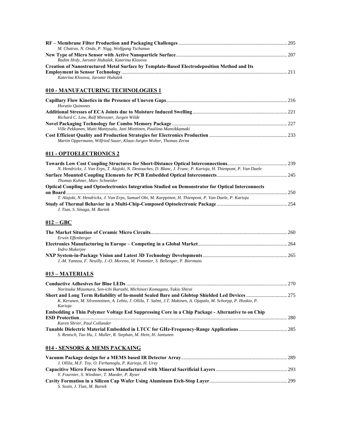| M. Chatras, N. Onda, P. Nigg, Wolfgang Tschanun                                                                                  |  |
|----------------------------------------------------------------------------------------------------------------------------------|--|
|                                                                                                                                  |  |
| Radim Hrdy, Jaromir Hubalek, Katerina Klosova                                                                                    |  |
| Creation of Nanostructured Metal Surface by Template-Based Electrodeposition Method and Its<br>Katerina Klosova, Jaromir Hubalek |  |
| <u>010 - MANUFACTURING TECHNOLOGIES 1</u>                                                                                        |  |
|                                                                                                                                  |  |
| Horatio Quinones                                                                                                                 |  |
| Richard C. Low, Ralf Miessner, Jurgen Wilde                                                                                      |  |
|                                                                                                                                  |  |
| Ville Pekkanen, Matti Mantysalo, Jani Miettinen, Pauliina Mansikkamaki                                                           |  |
| Martin Oppermann, Wilfried Sauer, Klaus-Jurgen Wolter, Thomas Zerna                                                              |  |
| <b>011 - OPTOELECTRONICS 2</b>                                                                                                   |  |
|                                                                                                                                  |  |
| N. Hendrickx, J. Van Erps, T. Alajoki, N. Destouches, D. Blanc, J. Franc, P. Karioja, H. Thienpont, P. Van Daele                 |  |
| Thomas Kuhner, Marc Schneider                                                                                                    |  |
| Optical Coupling and Optoelectronics Integration Studied on Demonstrator for Optical Interconnects                               |  |
| T. Alajoki, N. Hendrickx, J. Van Erps, Samuel Obi, M. Karppinen, H. Thienpont, P. Van Daele, P. Karioja                          |  |
|                                                                                                                                  |  |
| J. Tian, S. Sinaga, M. Bartek                                                                                                    |  |
| 012 – GBC                                                                                                                        |  |
| Erwin Effenberger                                                                                                                |  |
| Indro Mukerjee                                                                                                                   |  |
| J.-M. Yannou, F. Neuilly, J.-O. Moreno, M. Pommier, S. Bellenger, P. Biermans                                                    |  |
|                                                                                                                                  |  |
| 013 – MATERIALS                                                                                                                  |  |
|                                                                                                                                  |  |
| Noritsuka Mizumura, Sen-ichi Ikarashi, Michinori Komagata, Yukio Shirai                                                          |  |
| K. Keranen, M. Silvennoinen, A. Lehto, J. Ollila, T. Salmi, J.T. Makinen, A. Ojapalo, M. Schorpp, P. Hoskio, P.<br>Karioja       |  |
| Embedding a Thin Polymer Voltage Esd Suppressing Core in a Chip Package - Alternative to on Chip                                 |  |
| Karen Shrier, Paul Collander                                                                                                     |  |
| S. Rentsch, Tao Hu, J. Muller, R. Stephan, M. Hein, H. Jantunen                                                                  |  |
| <u>014 - SENSORS &amp; MEMS PACKAING</u>                                                                                         |  |
| J. Ollila, M.F. Toy, O. Ferhanoglu, P. Karioja, H. Urey                                                                          |  |
| Y. Fournier, S. Wiedmer, T. Maeder, P. Ryser                                                                                     |  |
|                                                                                                                                  |  |
|                                                                                                                                  |  |

*S. Sosin, J. Tian, M. Bartek*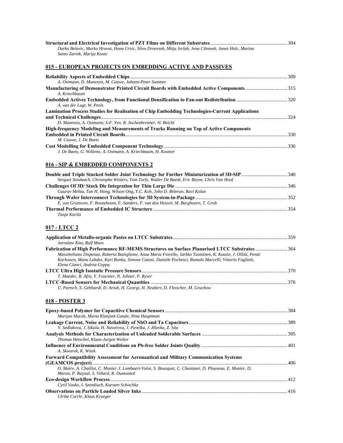| Darko Belavic, Marko Hrovat, Hana Ursic, Silvo Drnovsek, Mitja Jerlah, Jena Cilensek, Janez Holc, Marina |  |
|----------------------------------------------------------------------------------------------------------|--|
| Santo Zarnik, Marija Kosec                                                                               |  |
|                                                                                                          |  |
| 015 - EUROPEAN PROJECTS ON EMBEDDING ACTIVE AND PASSIVES                                                 |  |

| A. Ostmann, D. Manessis, M. Cauwe, Johann-Peter Sommer                                         |      |
|------------------------------------------------------------------------------------------------|------|
| Manufacturing of Demonstrator Printed Circuit Boards with Embedded Active Components315        |      |
| A. Kriechbaum                                                                                  |      |
|                                                                                                |      |
| A. van der Lugt, W. Peels                                                                      |      |
| Lamination Process Studies for Realisation of Chip Embedding Technologies-Current Applications |      |
|                                                                                                | -324 |
| D. Manessis, A. Ostmann, S-F. Yen, R. Aschenbrenner, H. Reichl                                 |      |
| <b>High-frequency Modeling and Measurements of Tracks Running on Top of Active Components</b>  |      |
|                                                                                                |      |
| M. Cauwe, J. De Baets                                                                          |      |
|                                                                                                |      |
| J. De Baets, G. Willems, A. Ostmann, A. Kriechbaum, H. Kostner                                 |      |

#### **016 - SIP & EMBEDDED COMPONENTS 2**

| Serguei Stoukatch, Christophe Winters, Tom Torfs, Walter De Raedt, Eric Beyne, Chris Van Hoof |  |
|-----------------------------------------------------------------------------------------------|--|
|                                                                                               |  |
| Gaurav Mehta, Tan H. Hong, Wilson Ong, Y.C. Koh, John D. Beleran, Ravi Kolan                  |  |
|                                                                                               |  |
| E. van Grunsven, F. Roozeboom, F. Sanders, F. van den Heuvel, M. Burghoorn, T. Grob           |  |
|                                                                                               |  |
| Tania Karila                                                                                  |  |

#### **017 - LTCC 2**

| Jaroslaw Kita, Ralf Moos                                                                                       |  |
|----------------------------------------------------------------------------------------------------------------|--|
|                                                                                                                |  |
| Massimiliano Dispenza, Roberta Buttiglione, Anna Maria Fiorello, Jarkko Tuominen, K. Kautio, J. Ollila, Pentti |  |
| Korhonen, Manu Lahdes, Kari Ronka, Simone Catoni, Daniele Pochesci, Romolo Marcelli, Vittorio Foglietti,       |  |
| Elena Cianci, Andrea Coppa                                                                                     |  |
|                                                                                                                |  |
| T. Maeder, B. Afra, Y. Fournier, N. Johner, P. Ryser                                                           |  |
|                                                                                                                |  |
| U. Partsch, S. Gebhardt, D. Arndt, H. Georgi, H. Neubert, D. Fleischer, M. Gruchow                             |  |

## **018 - POSTER 3**

| Marijan Macek, Marta Klanjsek Gunde, Nina Hauptman                                                         |  |
|------------------------------------------------------------------------------------------------------------|--|
|                                                                                                            |  |
| V. Sedlakova, J. Sikula, H. Navarova, J. Pavelka, J. Hlavka, Z. Sita                                       |  |
|                                                                                                            |  |
| Thomas Hetschel, Klaus-Jurgen Wolter                                                                       |  |
|                                                                                                            |  |
| A. Skwarek, K. Witek                                                                                       |  |
| Forward Compatibility Assessment for Aeronautical and Military Communication Systems                       |  |
|                                                                                                            |  |
| O. Maire, A. Chaillot, C. Munier, I. Lombaert-Valot, S. Bousquet, C. Chastanet, D. Plouseau, E. Munier, D. |  |
| Maron, P. Raynal, S. Villard, R. Dumonteil                                                                 |  |
|                                                                                                            |  |
| Cyril Vasko, I. Szendiuch, Karsten Schischke                                                               |  |
|                                                                                                            |  |
| Ulrike Currle, Klaus Krueger                                                                               |  |
|                                                                                                            |  |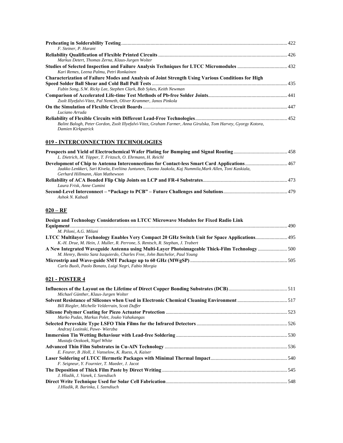| F. Steiner, P. Harant                                                                                                               |  |
|-------------------------------------------------------------------------------------------------------------------------------------|--|
|                                                                                                                                     |  |
| Markus Detert, Thomas Zerna, Klaus-Jurgen Wolter                                                                                    |  |
| Kari Remes, Leena Palmu, Petri Ronkainen                                                                                            |  |
| <b>Characterization of Failure Modes and Analysis of Joint Strength Using Various Conditions for High</b>                           |  |
|                                                                                                                                     |  |
| Fubin Song, S.W. Ricky Lee, Stephen Clark, Bob Sykes, Keith Newman                                                                  |  |
|                                                                                                                                     |  |
| Zsolt Illyefalvi-Vitez, Pal Nemeth, Oliver Krammer, Janos Pinkola                                                                   |  |
|                                                                                                                                     |  |
| Luciano Arruda                                                                                                                      |  |
|                                                                                                                                     |  |
| Balint Balogh, Peter Gordon, Zsolt Illyefalvi-Vitez, Graham Farmer, Anna Girulska, Tom Harvey, Gyorgy Kotora,<br>Damien Kirkpatrick |  |

#### **019 - INTERCONNECTION TECHNOLOGIES**

| L. Dietrich, M. Töpper, T. Fritzsch, O. Ehrmann, H. Reichl                                              |  |
|---------------------------------------------------------------------------------------------------------|--|
|                                                                                                         |  |
| Jaakko Lenkkeri, Sari Kivela, Eveliina Juntunen, Tuomo Jaakola, Kaj Nummila, Mark Allen, Toni Kaskiala, |  |
| Gerhard Hillmann, Alan Mathewson                                                                        |  |
|                                                                                                         |  |
| Laura Frisk, Anne Cumini                                                                                |  |
|                                                                                                         |  |
| Ashok N. Kabadi                                                                                         |  |

#### **020 – RF**

| Design and Technology Considerations on LTCC Microwave Modules for Fixed Radio Link           |  |
|-----------------------------------------------------------------------------------------------|--|
|                                                                                               |  |
| M. Piloni, A.G. Milani                                                                        |  |
| LTCC Multilayer Technology Enables Very Compact 20 GHz Switch Unit for Space Applications 495 |  |
| K.-H. Drue, M. Hein, J. Muller, R. Perrone, S. Rentsch, R. Stephan, J. Trabert                |  |
| A New Integrated Waveguide Antenna using Multi-Layer Photoimageable Thick-Film Technology 500 |  |
| M. Henry, Benito Sanz Iszquierdo, Charles Free, John Batchelor, Paul Young                    |  |
|                                                                                               |  |
| Carlo Buoli, Paolo Bonato, Luigi Negri, Fabio Morgia                                          |  |

## **021 - POSTER 4**

| Michael Günther, Klaus-Jurgen Wolter                 |  |
|------------------------------------------------------|--|
|                                                      |  |
| Bill Riegler, Michelle Velderrain, Scott Duffer      |  |
|                                                      |  |
| Marko Pudas, Markus Polet, Jouko Vahakangas          |  |
| Andrzej Lozinski, Pawe-Wierzba                       |  |
|                                                      |  |
| Mustafa Oezkoek, Nigel White                         |  |
|                                                      |  |
| E. Feurer, B. Holl, J. Vanselow, K. Ruess, A. Kaiser |  |
| F. Seigneur, Y. Fournier, T. Maeder, J. Jacot        |  |
|                                                      |  |
| J. Hladik, J. Vanek, I. Szendiuch                    |  |
| J.Hladik, R. Barinka, I. Szendiuch                   |  |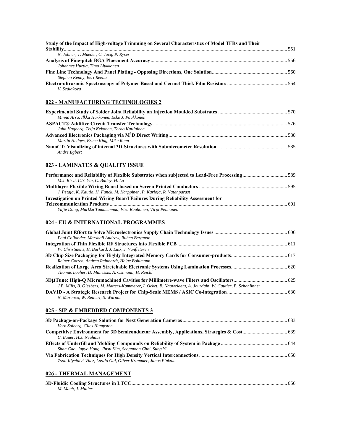| Study of the Impact of High-voltage Trimming on Several Characteristics of Model TFRs and Their                                        |  |
|----------------------------------------------------------------------------------------------------------------------------------------|--|
| N. Johner, T. Maeder, C. Jacq, P. Ryser                                                                                                |  |
| Johannes Hurtig, Timo Liukkonen                                                                                                        |  |
| Stephen Kenny, Bert Reents                                                                                                             |  |
| V. Sedlakova                                                                                                                           |  |
| 022 - MANUFACTURING TECHNOLOGIES 2                                                                                                     |  |
| Minna Arra, Ilkka Harkonen, Esko J. Paakkonen                                                                                          |  |
| Juha Hagberg, Teija Kekonen, Terho Kutilainen                                                                                          |  |
| Martin Hedges, Bruce King, Mike Renn                                                                                                   |  |
| Andre Egbert                                                                                                                           |  |
| 023 - LAMINATES & QUALITY ISSUE                                                                                                        |  |
| Performance and Reliability of Flexible Substrates when subjected to Lead-Free Processing589<br>M.J. Rizvi, C.Y. Yin, C. Bailey, H. Lu |  |
| J. Petaja, K. Kautio, H. Funck, M. Karppinen, P. Karioja, R. Vatanparast                                                               |  |
| <b>Investigation on Printed Wiring Board Failures During Reliability Assessment for</b>                                                |  |

**Telecommunication Products** ........................................................................................................................................... 601 *Yujie Dong, Markku Tammenmaa, Visa Ruuhonen, Virpi Pennanen* 

#### **024 - EU & INTERNATIONAL PROGRAMMES**

| Paul Collander, Marshall Andrew, Ruben Bergman                                                                 |  |
|----------------------------------------------------------------------------------------------------------------|--|
|                                                                                                                |  |
| W. Christiaens, H. Burkard, J. Link, J. Vanfleteren                                                            |  |
| Reiner Gotzen, Andrea Reinhardt, Helge Bohlmann                                                                |  |
| Thomas Loeher, D. Manessis, A. Ostmann, H. Reichl                                                              |  |
| J.B. Mills, B. Giesbers, M. Matters-Kammerer, I. Ocket, B. Nauwelaers, A. Jourdain, W. Gautier, B. Schonlinner |  |
| N. Marenco, W. Reinert, S. Warnat                                                                              |  |

#### **025 - SIP & EMBEDDED COMPONENTS 3**

| Vern Solberg, Giles Humpston                                      |  |
|-------------------------------------------------------------------|--|
|                                                                   |  |
| C. Bauer, H.J. Neuhaus                                            |  |
|                                                                   |  |
| Shan Gao, Jupyo Hong, Jinsu Kim, Seogmoon Choi, Sung Yi           |  |
|                                                                   |  |
| Zsolt Illyefalvi-Vitez, Laszlo Gal, Oliver Krammer, Janos Pinkola |  |

#### **026 - THERMAL MANAGEMENT**

| M. Mach. J. Muller |  |
|--------------------|--|